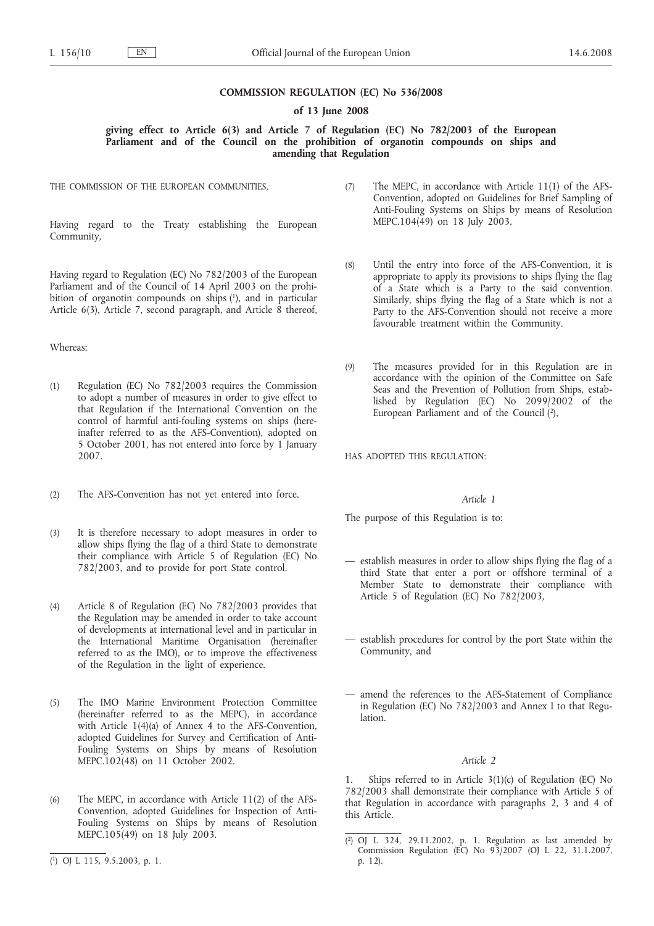## **COMMISSION REGULATION (EC) No 536/2008**

# **of 13 June 2008**

# **giving effect to Article 6(3) and Article 7 of Regulation (EC) No 782/2003 of the European Parliament and of the Council on the prohibition of organotin compounds on ships and amending that Regulation**

THE COMMISSION OF THE EUROPEAN COMMUNITIES,

Having regard to the Treaty establishing the European Community,

Having regard to Regulation (EC) No 782/2003 of the European Parliament and of the Council of 14 April 2003 on the prohibition of organotin compounds on ships (1), and in particular Article 6(3), Article 7, second paragraph, and Article 8 thereof,

#### Whereas:

- (1) Regulation (EC) No 782/2003 requires the Commission to adopt a number of measures in order to give effect to that Regulation if the International Convention on the control of harmful anti-fouling systems on ships (hereinafter referred to as the AFS-Convention), adopted on 5 October 2001, has not entered into force by 1 January 2007.
- (2) The AFS-Convention has not yet entered into force.
- (3) It is therefore necessary to adopt measures in order to allow ships flying the flag of a third State to demonstrate their compliance with Article 5 of Regulation (EC) No 782/2003, and to provide for port State control.
- (4) Article 8 of Regulation (EC) No 782/2003 provides that the Regulation may be amended in order to take account of developments at international level and in particular in the International Maritime Organisation (hereinafter referred to as the IMO), or to improve the effectiveness of the Regulation in the light of experience.
- (5) The IMO Marine Environment Protection Committee (hereinafter referred to as the MEPC), in accordance with Article 1(4)(a) of Annex 4 to the AFS-Convention, adopted Guidelines for Survey and Certification of Anti-Fouling Systems on Ships by means of Resolution MEPC.102(48) on 11 October 2002.
- (6) The MEPC, in accordance with Article 11(2) of the AFS-Convention, adopted Guidelines for Inspection of Anti-Fouling Systems on Ships by means of Resolution MEPC.105(49) on 18 July 2003.
- (7) The MEPC, in accordance with Article 11(1) of the AFS-Convention, adopted on Guidelines for Brief Sampling of Anti-Fouling Systems on Ships by means of Resolution MEPC.104(49) on 18 July 2003.
- (8) Until the entry into force of the AFS-Convention, it is appropriate to apply its provisions to ships flying the flag of a State which is a Party to the said convention. Similarly, ships flying the flag of a State which is not a Party to the AFS-Convention should not receive a more favourable treatment within the Community.
- (9) The measures provided for in this Regulation are in accordance with the opinion of the Committee on Safe Seas and the Prevention of Pollution from Ships, established by Regulation (EC) No 2099/2002 of the European Parliament and of the Council (2),

HAS ADOPTED THIS REGULATION:

#### *Article 1*

The purpose of this Regulation is to:

- establish measures in order to allow ships flying the flag of a third State that enter a port or offshore terminal of a Member State to demonstrate their compliance with Article 5 of Regulation (EC) No 782/2003,
- establish procedures for control by the port State within the Community, and
- amend the references to the AFS-Statement of Compliance in Regulation (EC) No 782/2003 and Annex I to that Regulation.

# *Article 2*

1. Ships referred to in Article 3(1)(c) of Regulation (EC) No 782/2003 shall demonstrate their compliance with Article 5 of that Regulation in accordance with paragraphs 2, 3 and 4 of this Article.

<sup>(</sup> 1) OJ L 115, 9.5.2003, p. 1.

<sup>(</sup> 2) OJ L 324, 29.11.2002, p. 1. Regulation as last amended by Commission Regulation (EC) No 93/2007 (OJ L 22, 31.1.2007, p. 12).